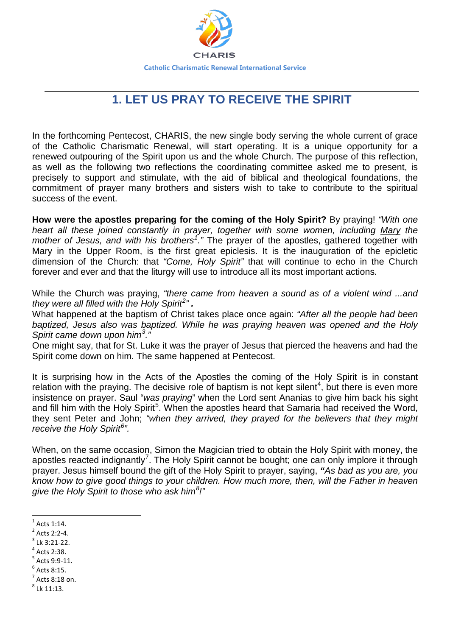

## **1. LET US PRAY TO RECEIVE THE SPIRIT**

In the forthcoming Pentecost, CHARIS, the new single body serving the whole current of grace of the Catholic Charismatic Renewal, will start operating. It is a unique opportunity for a renewed outpouring of the Spirit upon us and the whole Church. The purpose of this reflection, as well as the following two reflections the coordinating committee asked me to present, is precisely to support and stimulate, with the aid of biblical and theological foundations, the commitment of prayer many brothers and sisters wish to take to contribute to the spiritual success of the event.

**How were the apostles preparing for the coming of the Holy Spirit?** By praying! *"With one heart all these joined constantly in prayer, together with some women, including [Mary](https://www.catholic.org/bookstore/?category=19) the mother of Jesus, and with his brothers[1](#page-0-0) ."* The prayer of the apostles, gathered together with Mary in the Upper Room, is the first great epiclesis. It is the inauguration of the epicletic dimension of the Church: that *"Come, Holy Spirit"* that will continue to echo in the Church forever and ever and that the liturgy will use to introduce all its most important actions.

While the Church was praying, *"there came from heaven a sound as of a violent wind ...and they were all filled with the Holy Spirit[2](#page-0-1) " .*

What happened at the baptism of Christ takes place once again: *"After all the people had been baptized, Jesus also was baptized. While he was praying heaven was opened and the Holy Spirit came down upon him[3](#page-0-2) ."*

One might say, that for St. Luke it was the prayer of Jesus that pierced the heavens and had the Spirit come down on him. The same happened at Pentecost.

It is surprising how in the Acts of the Apostles the coming of the Holy Spirit is in constant relation with the praying. The decisive role of baptism is not kept silent<sup>[4](#page-0-3)</sup>, but there is even more insistence on prayer. Saul "*was praying*" when the Lord sent Ananias to give him back his sight and fill him with the Holy Spirit<sup>[5](#page-0-4)</sup>. When the apostles heard that Samaria had received the Word, they sent Peter and John; *"when they arrived, they prayed for the believers that they might receive the Holy Spirit[6](#page-0-5) ".*

When, on the same occasion, Simon the Magician tried to obtain the Holy Spirit with money, the apostles reacted indignantly<sup>[7](#page-0-6)</sup>. The Holy Spirit cannot be bought; one can only implore it through prayer. Jesus himself bound the gift of the Holy Spirit to prayer, saying, *"As bad as you are, you know how to give good things to your children. How much more, then, will the Father in heaven give the Holy Spirit to those who ask him[8](#page-0-7) !"* 

 $\overline{a}$ 

- <span id="page-0-3"></span> $<sup>4</sup>$  Acts 2:38.</sup>
- <span id="page-0-4"></span> $5$  Acts 9:9-11.
- <span id="page-0-5"></span> $<sup>6</sup>$  Acts 8:15.</sup>
- <span id="page-0-6"></span> $<sup>7</sup>$  Acts 8:18 on.</sup>
- <span id="page-0-7"></span> $8$  Lk 11:13.

<span id="page-0-0"></span> $<sup>1</sup>$  Acts 1:14.</sup>

<span id="page-0-1"></span> $2$  Acts 2:2-4.

<span id="page-0-2"></span> $3$  Lk 3:21-22.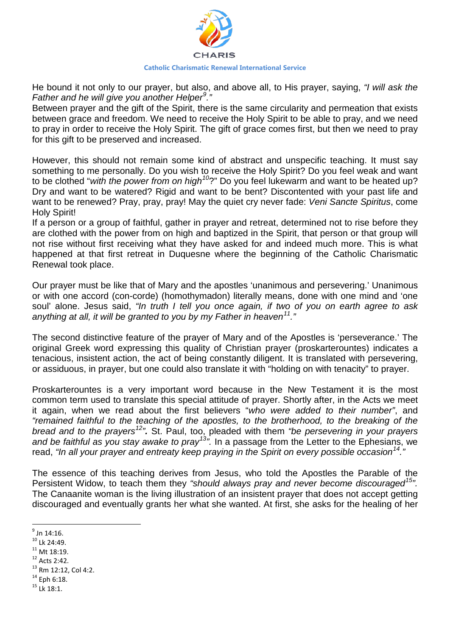

He bound it not only to our prayer, but also, and above all, to His prayer, saying, *"I will ask the Father and he will give you another Helper[9](#page-1-0) ."* 

Between prayer and the gift of the Spirit, there is the same circularity and permeation that exists between grace and freedom. We need to receive the Holy Spirit to be able to pray, and we need to pray in order to receive the Holy Spirit. The gift of grace comes first, but then we need to pray for this gift to be preserved and increased.

However, this should not remain some kind of abstract and unspecific teaching. It must say something to me personally. Do you wish to receive the Holy Spirit? Do you feel weak and want to be clothed "*with the power from on high[10](#page-1-1)*?" Do you feel lukewarm and want to be heated up? Dry and want to be watered? Rigid and want to be bent? Discontented with your past life and want to be renewed? Pray, pray, pray! May the quiet cry never fade: *Veni Sancte Spiritus*, come Holy Spirit!

If a person or a group of faithful, gather in prayer and retreat, determined not to rise before they are clothed with the power from on high and baptized in the Spirit, that person or that group will not rise without first receiving what they have asked for and indeed much more. This is what happened at that first retreat in Duquesne where the beginning of the Catholic Charismatic Renewal took place.

Our prayer must be like that of Mary and the apostles 'unanimous and persevering.' Unanimous or with one accord (con-corde) (homothymadon) literally means, done with one mind and 'one soul' alone. Jesus said, *"In truth I tell you once again, if two of you on earth agree to ask anything at all, it will be granted to you by my Father in heaven[11](#page-1-2)."* 

The second distinctive feature of the prayer of Mary and of the Apostles is 'perseverance.' The original Greek word expressing this quality of Christian prayer (proskarterountes) indicates a tenacious, insistent action, the act of being constantly diligent. It is translated with persevering, or assiduous, in prayer, but one could also translate it with "holding on with tenacity" to prayer.

Proskarterountes is a very important word because in the New Testament it is the most common term used to translate this special attitude of prayer. Shortly after, in the Acts we meet it again, when we read about the first believers "*who were added to their number"*, and *"remained faithful to the teaching of the apostles, to the brotherhood, to the breaking of the bread and to the prayers[12](#page-1-3)".* St. Paul, too, pleaded with them *"be persevering in your prayers and be faithful as you stay awake to pray[13](#page-1-4)".* In a passage from the Letter to the Ephesians, we read, *"In all your prayer and entreaty keep praying in the Spirit on every possible occasion[14.](#page-1-5)"* 

The essence of this teaching derives from Jesus, who told the Apostles the Parable of the Persistent Widow, to teach them they *"should always pray and never become discouraged[15"](#page-1-6).*  The Canaanite woman is the living illustration of an insistent prayer that does not accept getting discouraged and eventually grants her what she wanted. At first, she asks for the healing of her

 $\overline{a}$ 

- $^{11}$  Mt 18:19.
- <span id="page-1-3"></span><span id="page-1-2"></span> $12$  Acts 2:42.
- <span id="page-1-4"></span><sup>13</sup> Rm 12:12, Col 4:2.
- <span id="page-1-5"></span> $14$  Eph 6:18.
- <span id="page-1-6"></span><sup>15</sup> Lk 18:1.

<span id="page-1-0"></span> $^9$  Jn 14:16.

<span id="page-1-1"></span><sup>&</sup>lt;sup>10</sup> Lk 24:49.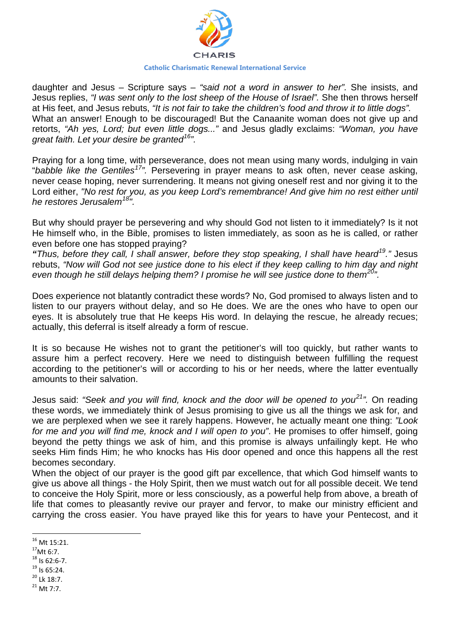

daughter and Jesus – Scripture says – *"said not a word in answer to her".* She insists, and Jesus replies, *"I was sent only to the lost sheep of the House of Israel".* She then throws herself at His feet, and Jesus rebuts, *"It is not fair to take the children's food and throw it to little dogs".* What an answer! Enough to be discouraged! But the Canaanite woman does not give up and retorts, *"Ah yes, Lord; but even little dogs..."* and Jesus gladly exclaims: *"Woman, you have great faith. Let your desire be granted[16](#page-2-0)".* 

Praying for a long time, with perseverance, does not mean using many words, indulging in vain "*babble like the Gentiles[17](#page-2-1)".* Persevering in prayer means to ask often, never cease asking, never cease hoping, never surrendering. It means not giving oneself rest and nor giving it to the Lord either, *"No rest for you, as you keep Lord's remembrance! And give him no rest either until he restores Jerusalem[18"](#page-2-2).* 

But why should prayer be persevering and why should God not listen to it immediately? Is it not He himself who, in the Bible, promises to listen immediately, as soon as he is called, or rather even before one has stopped praying?

*"Thus, before they call, I shall answer, before they stop speaking, I shall have heard[19](#page-2-3)."* Jesus rebuts, *"Now will God not see justice done to his elect if they keep calling to him day and night even though he still delays helping them? I promise he will see justice done to them[20"](#page-2-4).* 

Does experience not blatantly contradict these words? No, God promised to always listen and to listen to our prayers without delay, and so He does. We are the ones who have to open our eyes. It is absolutely true that He keeps His word. In delaying the rescue, he already recues; actually, this deferral is itself already a form of rescue.

It is so because He wishes not to grant the petitioner's will too quickly, but rather wants to assure him a perfect recovery. Here we need to distinguish between fulfilling the request according to the petitioner's will or according to his or her needs, where the latter eventually amounts to their salvation.

Jesus said: *"Seek and you will find, knock and the door will be opened to you[21](#page-2-5)".* On reading these words, we immediately think of Jesus promising to give us all the things we ask for, and we are perplexed when we see it rarely happens. However, he actually meant one thing: *"Look for me and you will find me, knock and I will open to you"*. He promises to offer himself, going beyond the petty things we ask of him, and this promise is always unfailingly kept. He who seeks Him finds Him; he who knocks has His door opened and once this happens all the rest becomes secondary.

When the object of our prayer is the good gift par excellence, that which God himself wants to give us above all things - the Holy Spirit, then we must watch out for all possible deceit. We tend to conceive the Holy Spirit, more or less consciously, as a powerful help from above, a breath of life that comes to pleasantly revive our prayer and fervor, to make our ministry efficient and carrying the cross easier. You have prayed like this for years to have your Pentecost, and it

l

<span id="page-2-0"></span><sup>16</sup> Mt 15:21.

 $17$ Mt 6:7.

<span id="page-2-2"></span><span id="page-2-1"></span> $18$  Is 62:6-7.

 $19$  Is 65:24.

<span id="page-2-4"></span><span id="page-2-3"></span><sup>&</sup>lt;sup>20</sup> Lk 18:7.

<span id="page-2-5"></span> $21$  Mt 7:7.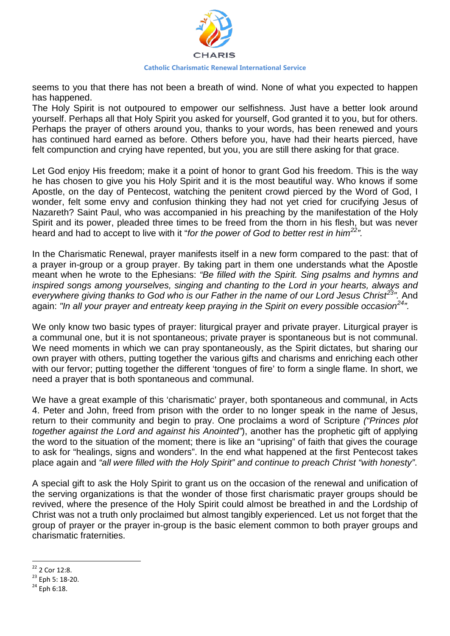

seems to you that there has not been a breath of wind. None of what you expected to happen has happened.

The Holy Spirit is not outpoured to empower our selfishness. Just have a better look around yourself. Perhaps all that Holy Spirit you asked for yourself, God granted it to you, but for others. Perhaps the prayer of others around you, thanks to your words, has been renewed and yours has continued hard earned as before. Others before you, have had their hearts pierced, have felt compunction and crying have repented, but you, you are still there asking for that grace.

Let God enjoy His freedom; make it a point of honor to grant God his freedom. This is the way he has chosen to give you his Holy Spirit and it is the most beautiful way. Who knows if some Apostle, on the day of Pentecost, watching the penitent crowd pierced by the Word of God, I wonder, felt some envy and confusion thinking they had not yet cried for crucifying Jesus of Nazareth? Saint Paul, who was accompanied in his preaching by the manifestation of the Holy Spirit and its power, pleaded three times to be freed from the thorn in his flesh, but was never heard and had to accept to live with it "*for the power of God to better rest in him[22"](#page-3-0).*

In the Charismatic Renewal, prayer manifests itself in a new form compared to the past: that of a prayer in-group or a group prayer. By taking part in them one understands what the Apostle meant when he wrote to the Ephesians: *"Be filled with the Spirit. Sing psalms and hymns and inspired songs among yourselves, singing and chanting to the Lord in your hearts, always and everywhere giving thanks to God who is our Father in the name of our Lord Jesus Christ[23"](#page-3-1).* And again: *"In all your prayer and entreaty keep praying in the Spirit on every possible occasion[24"](#page-3-2).* 

We only know two basic types of prayer: liturgical prayer and private prayer. Liturgical prayer is a communal one, but it is not spontaneous; private prayer is spontaneous but is not communal. We need moments in which we can pray spontaneously, as the Spirit dictates, but sharing our own prayer with others, putting together the various gifts and charisms and enriching each other with our fervor; putting together the different 'tongues of fire' to form a single flame. In short, we need a prayer that is both spontaneous and communal.

We have a great example of this 'charismatic' prayer, both spontaneous and communal, in Acts 4. Peter and John, freed from prison with the order to no longer speak in the name of Jesus, return to their community and begin to pray. One proclaims a word of Scripture *("Princes plot together against the Lord and against his Anointed"*), another has the prophetic gift of applying the word to the situation of the moment; there is like an "uprising" of faith that gives the courage to ask for "healings, signs and wonders". In the end what happened at the first Pentecost takes place again and *"all were filled with the Holy Spirit" and continue to preach Christ "with honesty"*.

A special gift to ask the Holy Spirit to grant us on the occasion of the renewal and unification of the serving organizations is that the wonder of those first charismatic prayer groups should be revived, where the presence of the Holy Spirit could almost be breathed in and the Lordship of Christ was not a truth only proclaimed but almost tangibly experienced. Let us not forget that the group of prayer or the prayer in-group is the basic element common to both prayer groups and charismatic fraternities.

<span id="page-3-0"></span><sup>22</sup> 2 Cor 12:8.

<span id="page-3-1"></span> $23$  Eph 5: 18-20.

<span id="page-3-2"></span> $24$  Eph 6:18.